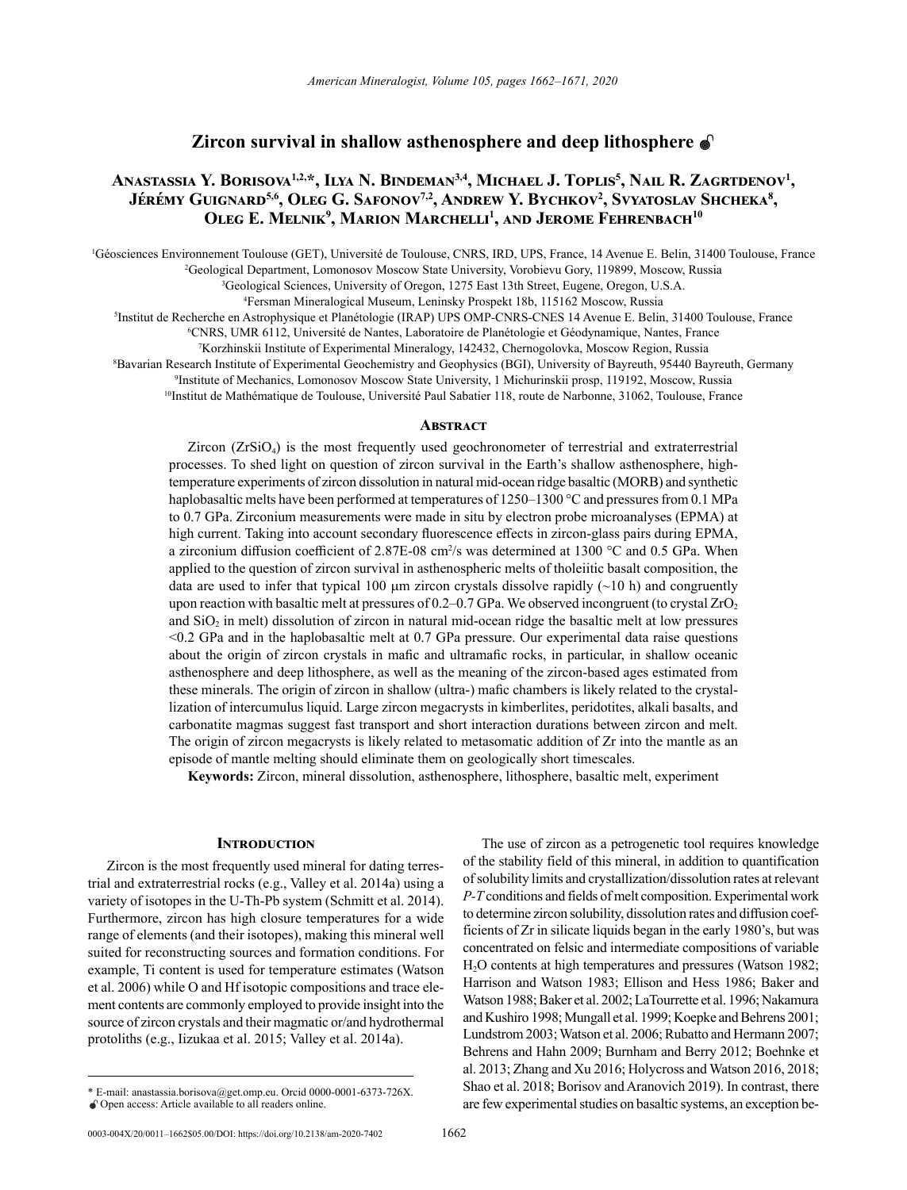# **Zircon survival in shallow asthenosphere and deep lithosphere**

# **Anastassia Y. Borisova1,2,\*, Ilya N. Bindeman3,4, Michael J. Toplis<sup>5</sup> , Nail R. Zagrtdenov<sup>1</sup> , Jérémy Guignard5,6, Oleg G. Safonov7,2, Andrew Y. Bychkov<sup>2</sup> , Svyatoslav Shcheka<sup>8</sup> , Oleg E. Melnik<sup>9</sup> , Marion Marchelli<sup>1</sup> , and Jerome Fehrenbach<sup>10</sup>**

Géosciences Environnement Toulouse (GET), Université de Toulouse, CNRS, IRD, UPS, France, 14 Avenue E. Belin, 31400 Toulouse, France<br><sup>2</sup>Geological Department Lomonosoy Moscow State University Vorobievu Gory, 119899, Moscow <sup>2</sup>Geological Department, Lomonosov Moscow State University, Vorobievu Gory, 119899, Moscow, Russia

3 Geological Sciences, University of Oregon, 1275 East 13th Street, Eugene, Oregon, U.S.A.

4 Fersman Mineralogical Museum, Leninsky Prospekt 18b, 115162 Moscow, Russia

Institut de Recherche en Astrophysique et Planétologie (IRAP) UPS OMP-CNRS-CNES 14 Avenue E. Belin, 31400 Toulouse, France<br>6 CNRS JIMR 6112 JIniversité de Nantes Japoratoire de Planétologie et Géodynamique, Nantes, France

CNRS, UMR 6112, Université de Nantes, Laboratoire de Planétologie et Géodynamique, Nantes, France

7 Korzhinskii Institute of Experimental Mineralogy, 142432, Chernogolovka, Moscow Region, Russia

8 Bavarian Research Institute of Experimental Geochemistry and Geophysics (BGI), University of Bayreuth, 95440 Bayreuth, Germany

9 Institute of Mechanics, Lomonosov Moscow State University, 1 Michurinskii prosp, 119192, Moscow, Russia

<sup>10</sup>Institut de Mathématique de Toulouse, Université Paul Sabatier 118, route de Narbonne, 31062, Toulouse, France

## **ABSTRACT**

 $Zircon (ZrSiO<sub>4</sub>)$  is the most frequently used geochronometer of terrestrial and extraterrestrial processes. To shed light on question of zircon survival in the Earth's shallow asthenosphere, hightemperature experiments of zircon dissolution in natural mid-ocean ridge basaltic (MORB) and synthetic haplobasaltic melts have been performed at temperatures of 1250–1300 °C and pressures from 0.1 MPa to 0.7 GPa. Zirconium measurements were made in situ by electron probe microanalyses (EPMA) at high current. Taking into account secondary fluorescence effects in zircon-glass pairs during EPMA, a zirconium diffusion coefficient of  $2.87E-08$  cm<sup>2</sup>/s was determined at 1300 °C and 0.5 GPa. When applied to the question of zircon survival in asthenospheric melts of tholeiitic basalt composition, the data are used to infer that typical 100  $\mu$ m zircon crystals dissolve rapidly ( $\sim$ 10 h) and congruently upon reaction with basaltic melt at pressures of 0.2–0.7 GPa. We observed incongruent (to crystal  $ZrO<sub>2</sub>$ and  $SiO<sub>2</sub>$  in melt) dissolution of zircon in natural mid-ocean ridge the basaltic melt at low pressures <0.2 GPa and in the haplobasaltic melt at 0.7 GPa pressure. Our experimental data raise questions about the origin of zircon crystals in mafic and ultramafic rocks, in particular, in shallow oceanic asthenosphere and deep lithosphere, as well as the meaning of the zircon-based ages estimated from these minerals. The origin of zircon in shallow (ultra-) mafic chambers is likely related to the crystallization of intercumulus liquid. Large zircon megacrysts in kimberlites, peridotites, alkali basalts, and carbonatite magmas suggest fast transport and short interaction durations between zircon and melt. The origin of zircon megacrysts is likely related to metasomatic addition of Zr into the mantle as an episode of mantle melting should eliminate them on geologically short timescales.

**Keywords:** Zircon, mineral dissolution, asthenosphere, lithosphere, basaltic melt, experiment

### **INTRODUCTION**

Zircon is the most frequently used mineral for dating terrestrial and extraterrestrial rocks (e.g., Valley et al. 2014a) using a variety of isotopes in the U-Th-Pb system (Schmitt et al. 2014). Furthermore, zircon has high closure temperatures for a wide range of elements (and their isotopes), making this mineral well suited for reconstructing sources and formation conditions. For example, Ti content is used for temperature estimates (Watson et al. 2006) while O and Hf isotopic compositions and trace element contents are commonly employed to provide insight into the source of zircon crystals and their magmatic or/and hydrothermal protoliths (e.g., Iizukaa et al. 2015; Valley et al. 2014a).

The use of zircon as a petrogenetic tool requires knowledge of the stability field of this mineral, in addition to quantification of solubility limits and crystallization/dissolution rates at relevant *P-T* conditions and fields of melt composition. Experimental work to determine zircon solubility, dissolution rates and diffusion coefficients of Zr in silicate liquids began in the early 1980's, but was concentrated on felsic and intermediate compositions of variable H2O contents at high temperatures and pressures (Watson 1982; Harrison and Watson 1983; Ellison and Hess 1986; Baker and Watson 1988; Baker et al. 2002; LaTourrette et al. 1996; Nakamura and Kushiro 1998; Mungall et al. 1999; Koepke and Behrens 2001; Lundstrom 2003; Watson et al. 2006; Rubatto and Hermann 2007; Behrens and Hahn 2009; Burnham and Berry 2012; Boehnke et al. 2013; Zhang and Xu 2016; Holycross and Watson 2016, 2018; Shao et al. 2018; Borisov and Aranovich 2019). In contrast, there are few experimental studies on basaltic systems, an exception be-

<sup>\*</sup> E-mail: [anastassia.borisova@get.omp.eu](mailto:anastassia.borisova@get.omp.eu). [Orcid 0000-0001-6373-726X.](https://orcid.org/0000-0001-6373-726X) Open access: Article available to all readers online.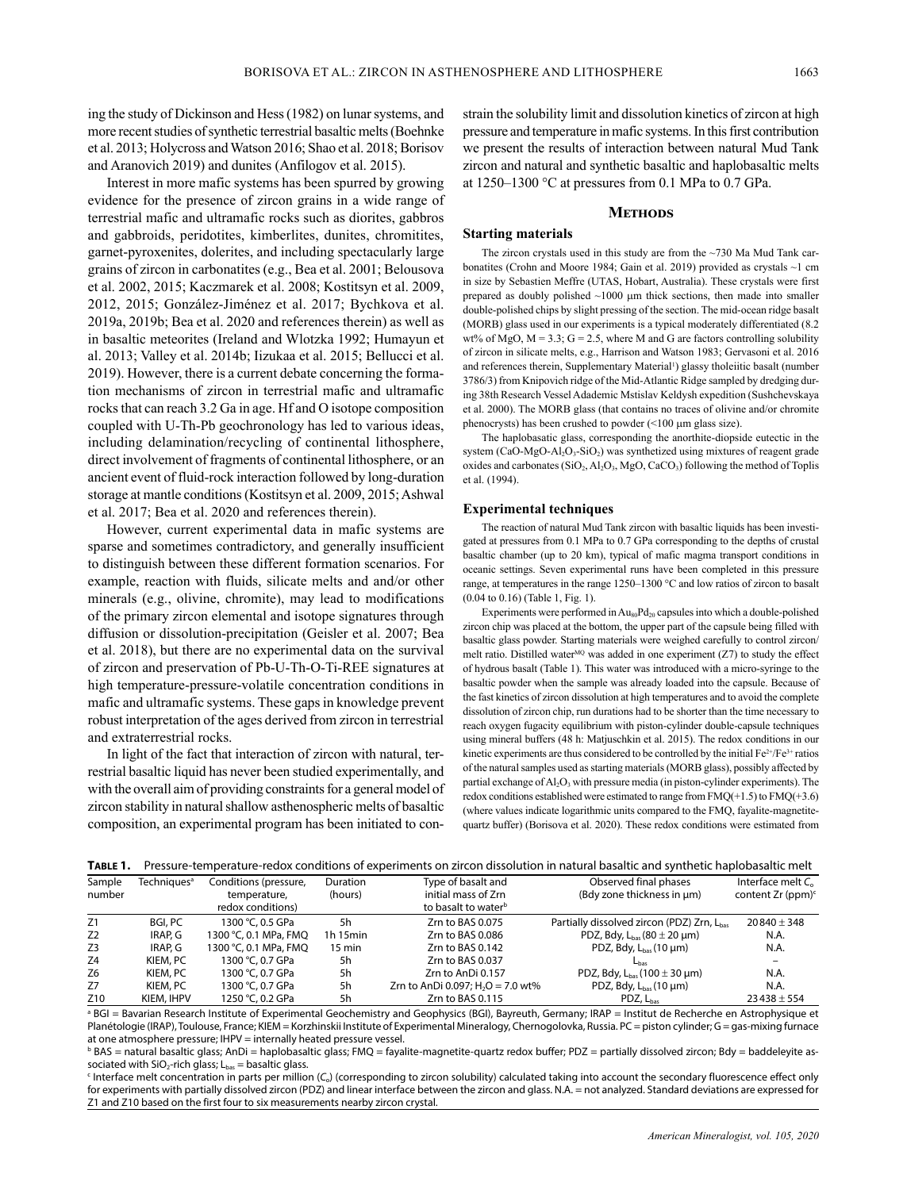ing the study of Dickinson and Hess (1982) on lunar systems, and more recent studies of synthetic terrestrial basaltic melts (Boehnke et al. 2013; Holycross and Watson 2016; Shao et al. 2018; Borisov and Aranovich 2019) and dunites (Anfilogov et al. 2015).

Interest in more mafic systems has been spurred by growing evidence for the presence of zircon grains in a wide range of terrestrial mafic and ultramafic rocks such as diorites, gabbros and gabbroids, peridotites, kimberlites, dunites, chromitites, garnet-pyroxenites, dolerites, and including spectacularly large grains of zircon in carbonatites (e.g., Bea et al. 2001; Belousova et al. 2002, 2015; Kaczmarek et al. 2008; Kostitsyn et al. 2009, 2012, 2015; González-Jiménez et al. 2017; Bychkova et al. 2019a, 2019b; Bea et al. 2020 and references therein) as well as in basaltic meteorites (Ireland and Wlotzka 1992; Humayun et al. 2013; Valley et al. 2014b; Iizukaa et al. 2015; Bellucci et al. 2019). However, there is a current debate concerning the formation mechanisms of zircon in terrestrial mafic and ultramafic rocks that can reach 3.2 Ga in age. Hf and O isotope composition coupled with U-Th-Pb geochronology has led to various ideas, including delamination/recycling of continental lithosphere, direct involvement of fragments of continental lithosphere, or an ancient event of fluid-rock interaction followed by long-duration storage at mantle conditions (Kostitsyn et al. 2009, 2015; Ashwal et al. 2017; Bea et al. 2020 and references therein).

However, current experimental data in mafic systems are sparse and sometimes contradictory, and generally insufficient to distinguish between these different formation scenarios. For example, reaction with fluids, silicate melts and and/or other minerals (e.g., olivine, chromite), may lead to modifications of the primary zircon elemental and isotope signatures through diffusion or dissolution-precipitation (Geisler et al. 2007; Bea et al. 2018), but there are no experimental data on the survival of zircon and preservation of Pb-U-Th-O-Ti-REE signatures at high temperature-pressure-volatile concentration conditions in mafic and ultramafic systems. These gaps in knowledge prevent robust interpretation of the ages derived from zircon in terrestrial and extraterrestrial rocks.

In light of the fact that interaction of zircon with natural, terrestrial basaltic liquid has never been studied experimentally, and with the overall aim of providing constraints for a general model of zircon stability in natural shallow asthenospheric melts of basaltic composition, an experimental program has been initiated to constrain the solubility limit and dissolution kinetics of zircon at high pressure and temperature in mafic systems. In this first contribution we present the results of interaction between natural Mud Tank zircon and natural and synthetic basaltic and haplobasaltic melts at 1250–1300 °C at pressures from 0.1 MPa to 0.7 GPa.

#### **Methods**

## **Starting materials**

The zircon crystals used in this study are from the ~730 Ma Mud Tank carbonatites (Crohn and Moore 1984; Gain et al. 2019) provided as crystals ~1 cm in size by Sebastien Meffre (UTAS, Hobart, Australia). These crystals were first prepared as doubly polished  $~1000$   $~\mu m$  thick sections, then made into smaller double-polished chips by slight pressing of the section. The mid-ocean ridge basalt (MORB) glass used in our experiments is a typical moderately differentiated (8.2 wt% of MgO,  $M = 3.3$ ;  $G = 2.5$ , where M and G are factors controlling solubility of zircon in silicate melts, e.g., Harrison and Watson 1983; Gervasoni et al. 2016 and references therein, Supplementary Material<sup>[1](#page-9-0)</sup>) glassy tholeiitic basalt (number 3786/3) from Knipovich ridge of the Mid-Atlantic Ridge sampled by dredging during 38th Research Vessel Adademic Mstislav Keldysh expedition (Sushchevskaya et al. 2000). The MORB glass (that contains no traces of olivine and/or chromite phenocrysts) has been crushed to powder (<100 µm glass size).

The haplobasatic glass, corresponding the anorthite-diopside eutectic in the system (CaO-MgO-Al<sub>2</sub>O<sub>3</sub>-SiO<sub>2</sub>) was synthetized using mixtures of reagent grade oxides and carbonates  $(SiO_2, Al_2O_3, MgO, CaCO_3)$  following the method of Toplis et al. (1994).

#### **Experimental techniques**

The reaction of natural Mud Tank zircon with basaltic liquids has been investigated at pressures from 0.1 MPa to 0.7 GPa corresponding to the depths of crustal basaltic chamber (up to 20 km), typical of mafic magma transport conditions in oceanic settings. Seven experimental runs have been completed in this pressure range, at temperatures in the range 1250–1300 °C and low ratios of zircon to basalt (0.04 to 0.16) (Table 1, Fig. 1).

Experiments were performed in  $\rm{Au_{80}Pd_{20}}$  capsules into which a double-polished zircon chip was placed at the bottom, the upper part of the capsule being filled with basaltic glass powder. Starting materials were weighed carefully to control zircon/ melt ratio. Distilled water<sup>MQ</sup> was added in one experiment  $(Z7)$  to study the effect of hydrous basalt (Table 1). This water was introduced with a micro-syringe to the basaltic powder when the sample was already loaded into the capsule. Because of the fast kinetics of zircon dissolution at high temperatures and to avoid the complete dissolution of zircon chip, run durations had to be shorter than the time necessary to reach oxygen fugacity equilibrium with piston-cylinder double-capsule techniques using mineral buffers (48 h: Matjuschkin et al. 2015). The redox conditions in our kinetic experiments are thus considered to be controlled by the initial Fe<sup>2+</sup>/Fe<sup>3+</sup> ratios of the natural samples used as starting materials (MORB glass), possibly affected by partial exchange of  $AI_2O_3$  with pressure media (in piston-cylinder experiments). The redox conditions established were estimated to range from FMQ(+1.5) to FMQ(+3.6) (where values indicate logarithmic units compared to the FMQ, fayalite-magnetitequartz buffer) (Borisova et al. 2020). These redox conditions were estimated from

|  | <b>TABLE 1.</b> Pressure-temperature-redox conditions of experiments on zircon dissolution in natural basaltic and synthetic haplobasaltic melt |  |  |  |  |  |  |  |  |
|--|-------------------------------------------------------------------------------------------------------------------------------------------------|--|--|--|--|--|--|--|--|
|--|-------------------------------------------------------------------------------------------------------------------------------------------------|--|--|--|--|--|--|--|--|

| Sample          | Techniques <sup>a</sup> | Conditions (pressure, | Duration         | Type of basalt and                  | Observed final phases                                | Interface melt $C_{0}$        |  |
|-----------------|-------------------------|-----------------------|------------------|-------------------------------------|------------------------------------------------------|-------------------------------|--|
| number          |                         | temperature.          | (hours)          | initial mass of Zrn                 | (Bdy zone thickness in µm)                           | content Zr (ppm) <sup>c</sup> |  |
|                 |                         | redox conditions)     |                  | to basalt to water <sup>b</sup>     |                                                      |                               |  |
| Z1              | BGI, PC                 | 1300 °C, 0.5 GPa      | 5h               | Zrn to BAS 0.075                    | Partially dissolved zircon (PDZ) Zrn, Lbas           | $20840 + 348$                 |  |
| Z <sub>2</sub>  | IRAP. G                 | 1300 °C, 0.1 MPa, FMO | $1h$ 15 $min$    | Zrn to BAS 0.086                    | PDZ, Bdy, $L_{\text{bas}}$ (80 $\pm$ 20 µm)          | N.A.                          |  |
| Z <sub>3</sub>  | IRAP. G                 | 1300 °C, 0.1 MPa, FMQ | $15 \text{ min}$ | Zrn to BAS 0.142                    | PDZ, Bdy, $L_{\text{bas}}(10 \mu m)$                 | N.A.                          |  |
| Z <sub>4</sub>  | KIEM, PC                | 1300 °C, 0.7 GPa      | 5h               | Zrn to BAS 0.037                    | Lhas                                                 |                               |  |
| Z <sub>6</sub>  | KIEM, PC                | 1300 °C, 0.7 GPa      | 5h               | Zrn to AnDi 0.157                   | PDZ, Bdy, $L_{\text{bas}}(100 \pm 30 \,\mu\text{m})$ | N.A.                          |  |
| Z7              | KIEM, PC                | 1300 °C, 0.7 GPa      | 5h               | Zrn to AnDi 0.097; $H_2O = 7.0$ wt% | PDZ, Bdy, $L_{\text{bas}}(10 \,\mu\text{m})$         | N.A.                          |  |
| Z <sub>10</sub> | KIEM, IHPV              | 1250 °C, 0.2 GPa      | 5h               | Zrn to BAS 0.115                    | $PDZ, L_{\text{bas}}$                                | $23438 \pm 554$               |  |

a BGI = Bavarian Research Institute of Experimental Geochemistry and Geophysics (BGI), Bayreuth, Germany; IRAP = Institut de Recherche en Astrophysique et Planétologie (IRAP), Toulouse, France; KIEM = Korzhinskii Institute of Experimental Mineralogy, Chernogolovka, Russia. PC = piston cylinder; G = gas-mixing furnace at one atmosphere pressure; IHPV = internally heated pressure vessel.

 $^{\rm b}$  BAS = natural basaltic glass; AnDi = haplobasaltic glass; FMQ = fayalite-magnetite-quartz redox buffer; PDZ = partially dissolved zircon; Bdy = baddeleyite associated with  $SiO<sub>2</sub>$ -rich glass; L<sub>bas</sub> = basaltic glass.

c Interface melt concentration in parts per million (*C*o) (corresponding to zircon solubility) calculated taking into account the secondary fluorescence effect only for experiments with partially dissolved zircon (PDZ) and linear interface between the zircon and glass. N.A. = not analyzed. Standard deviations are expressed for Z1 and Z10 based on the first four to six measurements nearby zircon crystal.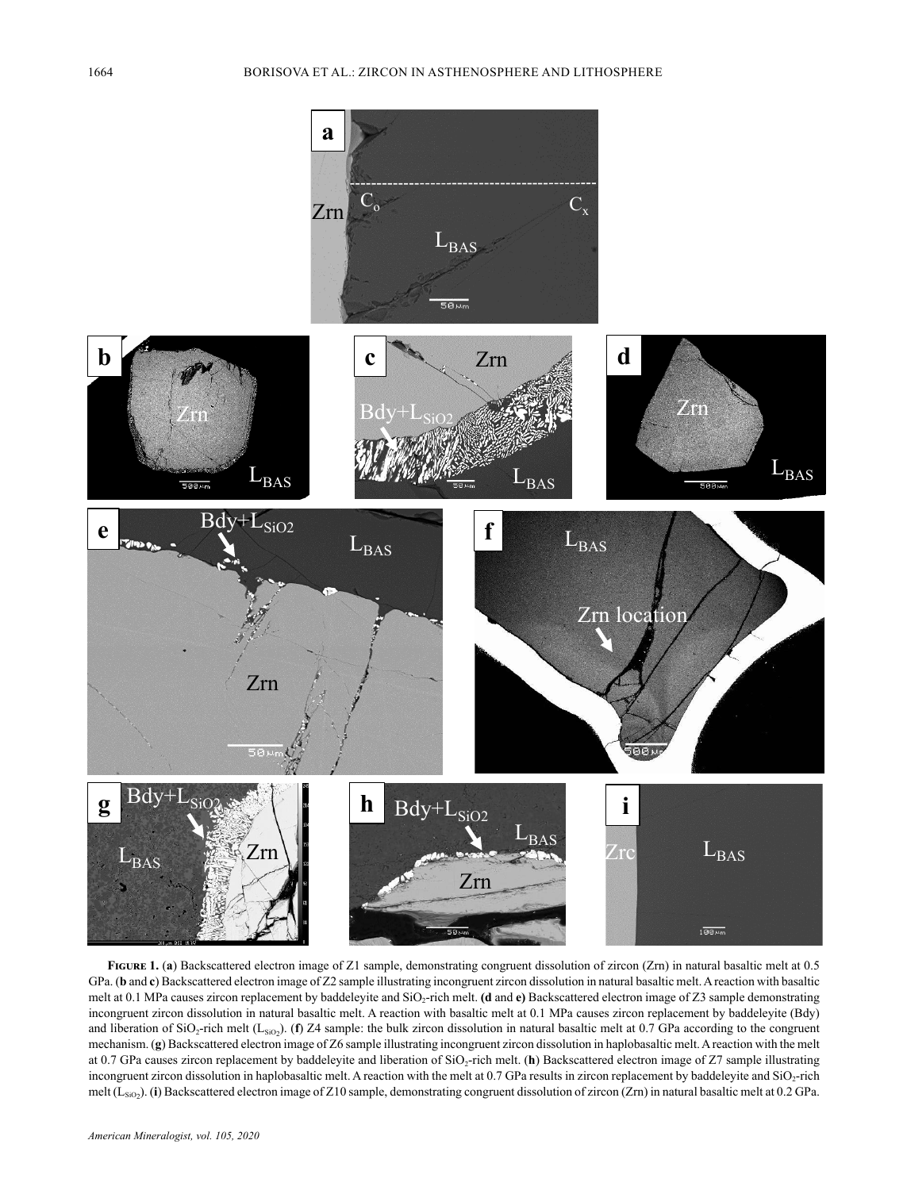

FIGURE 1. (a) Backscattered electron image of Z1 sample, demonstrating congruent dissolution of zircon (Zrn) in natural basaltic melt at 0.5 GPa. (**b** and **c**) Backscattered electron image of Z2 sample illustrating incongruent zircon dissolution in natural basaltic melt. A reaction with basaltic melt at 0.1 MPa causes zircon replacement by baddeleyite and SiO2-rich melt. **(d** and **e)** Backscattered electron image of Z3 sample demonstrating incongruent zircon dissolution in natural basaltic melt. A reaction with basaltic melt at 0.1 MPa causes zircon replacement by baddeleyite (Bdy) and liberation of SiO<sub>2</sub>-rich melt (L<sub>SiO2</sub>). (**f**) Z4 sample: the bulk zircon dissolution in natural basaltic melt at 0.7 GPa according to the congruent mechanism. (**g**) Backscattered electron image of Z6 sample illustrating incongruent zircon dissolution in haplobasaltic melt. A reaction with the melt at 0.7 GPa causes zircon replacement by baddeleyite and liberation of SiO2-rich melt. (**h**) Backscattered electron image of Z7 sample illustrating incongruent zircon dissolution in haplobasaltic melt. A reaction with the melt at 0.7 GPa results in zircon replacement by baddeleyite and SiO2-rich melt (L<sub>SiO2</sub>). (i) Backscattered electron image of Z10 sample, demonstrating congruent dissolution of zircon (Zrn) in natural basaltic melt at 0.2 GPa.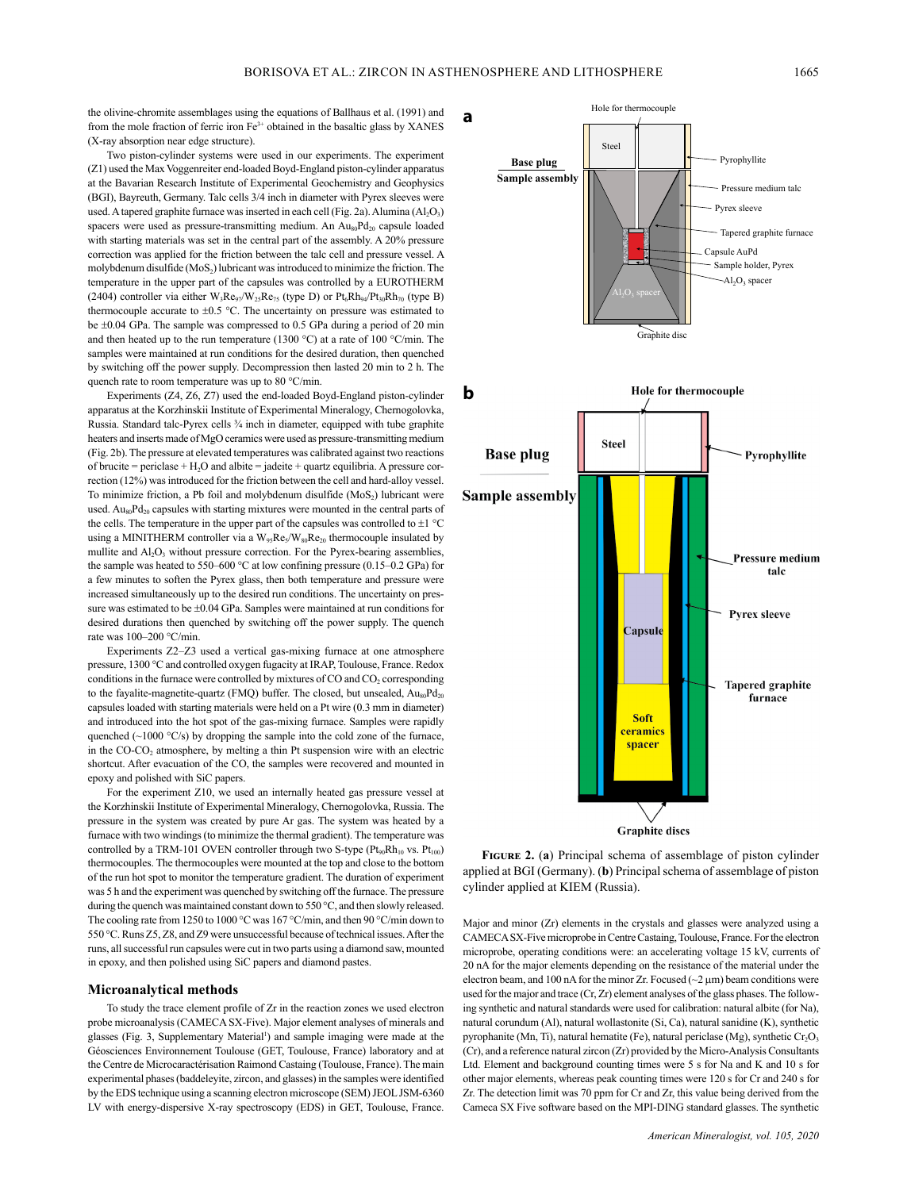the olivine-chromite assemblages using the equations of Ballhaus et al. (1991) and from the mole fraction of ferric iron  $Fe<sup>3+</sup>$  obtained in the basaltic glass by XANES (X-ray absorption near edge structure).

Two piston-cylinder systems were used in our experiments. The experiment (Z1) used the Max Voggenreiter end-loaded Boyd-England piston-cylinder apparatus at the Bavarian Research Institute of Experimental Geochemistry and Geophysics (BGI), Bayreuth, Germany. Talc cells 3/4 inch in diameter with Pyrex sleeves were used. A tapered graphite furnace was inserted in each cell (Fig. 2a). Alumina  $(AI_2O_3)$ spacers were used as pressure-transmitting medium. An  $Au_{80}Pd_{20}$  capsule loaded with starting materials was set in the central part of the assembly. A 20% pressure correction was applied for the friction between the talc cell and pressure vessel. A molybdenum disulfide  $(MoS<sub>2</sub>)$  lubricant was introduced to minimize the friction. The temperature in the upper part of the capsules was controlled by a EUROTHERM (2404) controller via either  $W_3Re_{97}/W_{25}Re_{75}$  (type D) or  $Pt_6Rh_{94}/Pt_{30}Rh_{70}$  (type B) thermocouple accurate to  $\pm 0.5$  °C. The uncertainty on pressure was estimated to be ±0.04 GPa. The sample was compressed to 0.5 GPa during a period of 20 min and then heated up to the run temperature (1300 °C) at a rate of 100 °C/min. The samples were maintained at run conditions for the desired duration, then quenched by switching off the power supply. Decompression then lasted 20 min to 2 h. The quench rate to room temperature was up to 80 °C/min.

Experiments (Z4, Z6, Z7) used the end-loaded Boyd-England piston-cylinder apparatus at the Korzhinskii Institute of Experimental Mineralogy, Chernogolovka, Russia. Standard talc-Pyrex cells 3/4 inch in diameter, equipped with tube graphite heaters and inserts made of MgO ceramics were used as pressure-transmitting medium (Fig. 2b). The pressure at elevated temperatures was calibrated against two reactions of brucite = periclase +  $H_2O$  and albite = jadeite + quartz equilibria. A pressure correction (12%) was introduced for the friction between the cell and hard-alloy vessel. To minimize friction, a Pb foil and molybdenum disulfide  $(MoS<sub>2</sub>)$  lubricant were used. Au $_{20}$ Pd<sub>20</sub> capsules with starting mixtures were mounted in the central parts of the cells. The temperature in the upper part of the capsules was controlled to  $\pm 1$  °C using a MINITHERM controller via a  $W_{95}Re_5/W_{80}Re_{20}$  thermocouple insulated by mullite and Al<sub>2</sub>O<sub>3</sub> without pressure correction. For the Pyrex-bearing assemblies, the sample was heated to 550–600 °C at low confining pressure (0.15–0.2 GPa) for a few minutes to soften the Pyrex glass, then both temperature and pressure were increased simultaneously up to the desired run conditions. The uncertainty on pressure was estimated to be  $\pm 0.04$  GPa. Samples were maintained at run conditions for desired durations then quenched by switching off the power supply. The quench rate was 100–200 °C/min.

Experiments Z2–Z3 used a vertical gas-mixing furnace at one atmosphere pressure, 1300 °C and controlled oxygen fugacity at IRAP, Toulouse, France. Redox conditions in the furnace were controlled by mixtures of  $CO$  and  $CO<sub>2</sub>$  corresponding to the fayalite-magnetite-quartz (FMQ) buffer. The closed, but unsealed,  $Au_{80}Pd_{20}$ capsules loaded with starting materials were held on a Pt wire (0.3 mm in diameter) and introduced into the hot spot of the gas-mixing furnace. Samples were rapidly quenched ( $\sim$ 1000 °C/s) by dropping the sample into the cold zone of the furnace, in the  $CO-CO<sub>2</sub>$  atmosphere, by melting a thin Pt suspension wire with an electric shortcut. After evacuation of the CO, the samples were recovered and mounted in epoxy and polished with SiC papers.

For the experiment Z10, we used an internally heated gas pressure vessel at the Korzhinskii Institute of Experimental Mineralogy, Chernogolovka, Russia. The pressure in the system was created by pure Ar gas. The system was heated by a furnace with two windings (to minimize the thermal gradient). The temperature was controlled by a TRM-101 OVEN controller through two S-type  $(Pt_{90}Rh_{10}$  vs.  $Pt_{100})$ thermocouples. The thermocouples were mounted at the top and close to the bottom of the run hot spot to monitor the temperature gradient. The duration of experiment was 5 h and the experiment was quenched by switching off the furnace. The pressure during the quench was maintained constant down to 550 °C, and then slowly released. The cooling rate from 1250 to 1000 °C was 167 °C/min, and then 90 °C/min down to 550 °C. Runs Z5, Z8, and Z9 were unsuccessful because of technical issues. After the runs, all successful run capsules were cut in two parts using a diamond saw, mounted in epoxy, and then polished using SiC papers and diamond pastes.

#### **Microanalytical methods**

To study the trace element profile of Zr in the reaction zones we used electron probe microanalysis (CAMECA SX-Five). Major element analyses of minerals and glasses (Fig. 3, Supplementary Material<sup>1</sup>) and sample imaging were made at the Géosciences Environnement Toulouse (GET, Toulouse, France) laboratory and at the Centre de Microcaractérisation Raimond Castaing (Toulouse, France). The main experimental phases (baddeleyite, zircon, and glasses) in the samples were identified by the EDS technique using a scanning electron microscope (SEM) JEOL JSM-6360 LV with energy-dispersive X-ray spectroscopy (EDS) in GET, Toulouse, France.



Hole for thermocouple

**Graphite discs** 

**Figure 2.** (**a**) Principal schema of assemblage of piston cylinder applied at BGI (Germany). (**b**) Principal schema of assemblage of piston cylinder applied at KIEM (Russia).

Major and minor (Zr) elements in the crystals and glasses were analyzed using a CAMECA SX-Five microprobe in Centre Castaing, Toulouse, France. For the electron microprobe, operating conditions were: an accelerating voltage 15 kV, currents of 20 nA for the major elements depending on the resistance of the material under the electron beam, and 100 nA for the minor Zr. Focused  $(\sim 2 \mu m)$  beam conditions were used for the major and trace (Cr, Zr) element analyses of the glass phases. The following synthetic and natural standards were used for calibration: natural albite (for Na), natural corundum (Al), natural wollastonite (Si, Ca), natural sanidine (K), synthetic pyrophanite (Mn, Ti), natural hematite (Fe), natural periclase (Mg), synthetic  $Cr_2O_3$ (Cr), and a reference natural zircon (Zr) provided by the Micro-Analysis Consultants Ltd. Element and background counting times were 5 s for Na and K and 10 s for other major elements, whereas peak counting times were 120 s for Cr and 240 s for Zr. The detection limit was 70 ppm for Cr and Zr, this value being derived from the Cameca SX Five software based on the MPI-DING standard glasses. The synthetic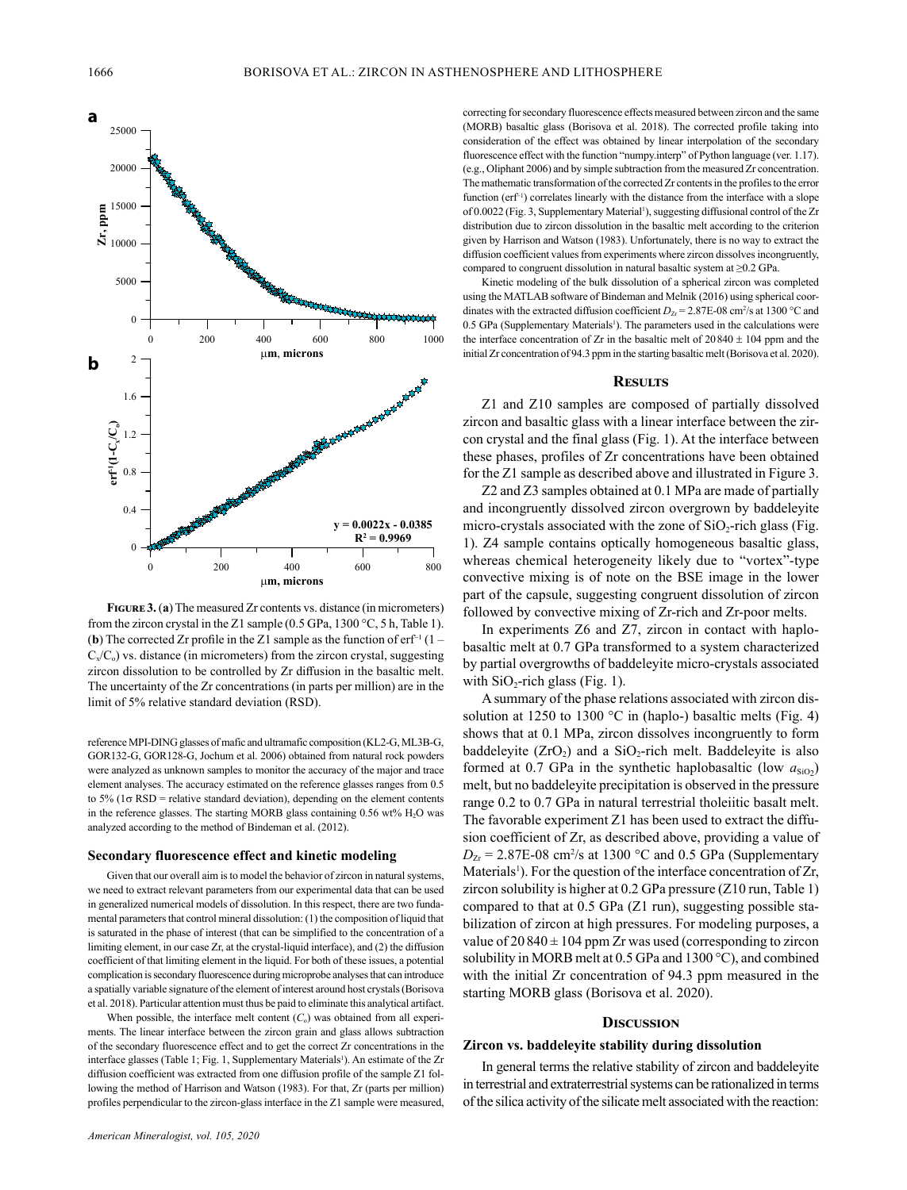

**Figure 3.** (**a**) The measured Zr contents vs. distance (in micrometers) from the zircon crystal in the Z1 sample (0.5 GPa, 1300 °C, 5 h, Table 1). (**b**) The corrected Zr profile in the Z1 sample as the function of  $erf^{-1}(1 C_x/C_0$ ) vs. distance (in micrometers) from the zircon crystal, suggesting zircon dissolution to be controlled by Zr diffusion in the basaltic melt. The uncertainty of the Zr concentrations (in parts per million) are in the limit of 5% relative standard deviation (RSD).

reference MPI-DING glasses of mafic and ultramafic composition (KL2-G, ML3B-G, GOR132-G, GOR128-G, Jochum et al. 2006) obtained from natural rock powders were analyzed as unknown samples to monitor the accuracy of the major and trace element analyses. The accuracy estimated on the reference glasses ranges from 0.5 to 5% ( $1\sigma$  RSD = relative standard deviation), depending on the element contents in the reference glasses. The starting MORB glass containing  $0.56$  wt%  $H<sub>2</sub>O$  was analyzed according to the method of Bindeman et al. (2012).

### **Secondary fluorescence effect and kinetic modeling**

Given that our overall aim is to model the behavior of zircon in natural systems, we need to extract relevant parameters from our experimental data that can be used in generalized numerical models of dissolution. In this respect, there are two fundamental parameters that control mineral dissolution: (1) the composition of liquid that is saturated in the phase of interest (that can be simplified to the concentration of a limiting element, in our case Zr, at the crystal-liquid interface), and (2) the diffusion coefficient of that limiting element in the liquid. For both of these issues, a potential complication is secondary fluorescence during microprobe analyses that can introduce a spatially variable signature of the element of interest around host crystals (Borisova et al. 2018). Particular attention must thus be paid to eliminate this analytical artifact.

When possible, the interface melt content  $(C<sub>o</sub>)$  was obtained from all experiments. The linear interface between the zircon grain and glass allows subtraction of the secondary fluorescence effect and to get the correct Zr concentrations in the interface glasses (Table 1; Fig. 1, Supplementary Materials<sup>1</sup>). An estimate of the Zr diffusion coefficient was extracted from one diffusion profile of the sample Z1 following the method of Harrison and Watson (1983). For that, Zr (parts per million) profiles perpendicular to the zircon-glass interface in the Z1 sample were measured,

correcting for secondary fluorescence effects measured between zircon and the same (MORB) basaltic glass (Borisova et al. 2018). The corrected profile taking into consideration of the effect was obtained by linear interpolation of the secondary fluorescence effect with the function "numpy.interp" of Python language (ver. 1.17). (e.g., Oliphant 2006) and by simple subtraction from the measured Zr concentration. The mathematic transformation of the corrected Zr contents in the profiles to the error function (erf<sup>-1</sup>) correlates linearly with the distance from the interface with a slope of 0.0022 (Fig. 3, Supplementary Material<sup>1</sup>), suggesting diffusional control of the Zr distribution due to zircon dissolution in the basaltic melt according to the criterion given by Harrison and Watson (1983). Unfortunately, there is no way to extract the diffusion coefficient values from experiments where zircon dissolves incongruently, compared to congruent dissolution in natural basaltic system at ≥0.2 GPa.

Kinetic modeling of the bulk dissolution of a spherical zircon was completed using the MATLAB software of Bindeman and Melnik (2016) using spherical coordinates with the extracted diffusion coefficient  $D_{Zr} = 2.87E-08$  cm<sup>2</sup>/s at 1300 °C and 0.5 GPa (Supplementary Materials<sup>1</sup>). The parameters used in the calculations were the interface concentration of  $Zr$  in the basaltic melt of  $20840 + 104$  ppm and the initial Zr concentration of 94.3 ppm in the starting basaltic melt (Borisova et al. 2020).

### **Results**

Z1 and Z10 samples are composed of partially dissolved zircon and basaltic glass with a linear interface between the zircon crystal and the final glass (Fig. 1). At the interface between these phases, profiles of Zr concentrations have been obtained for the Z1 sample as described above and illustrated in Figure 3.

Z2 and Z3 samples obtained at 0.1 MPa are made of partially and incongruently dissolved zircon overgrown by baddeleyite micro-crystals associated with the zone of  $SiO<sub>2</sub>$ -rich glass (Fig. 1). Z4 sample contains optically homogeneous basaltic glass, whereas chemical heterogeneity likely due to "vortex"-type convective mixing is of note on the BSE image in the lower part of the capsule, suggesting congruent dissolution of zircon followed by convective mixing of Zr-rich and Zr-poor melts.

In experiments Z6 and Z7, zircon in contact with haplobasaltic melt at 0.7 GPa transformed to a system characterized by partial overgrowths of baddeleyite micro-crystals associated with  $SiO<sub>2</sub>$ -rich glass (Fig. 1).

A summary of the phase relations associated with zircon dissolution at 1250 to 1300 °C in (haplo-) basaltic melts (Fig. 4) shows that at 0.1 MPa, zircon dissolves incongruently to form baddeleyite  $(ZrO<sub>2</sub>)$  and a SiO<sub>2</sub>-rich melt. Baddeleyite is also formed at 0.7 GPa in the synthetic haplobasaltic (low  $a_{SiO2}$ ) melt, but no baddeleyite precipitation is observed in the pressure range 0.2 to 0.7 GPa in natural terrestrial tholeiitic basalt melt. The favorable experiment Z1 has been used to extract the diffusion coefficient of Zr, as described above, providing a value of  $D_{Zr}$  = 2.87E-08 cm<sup>2</sup>/s at 1300 °C and 0.5 GPa (Supplementary Materials<sup>1</sup>). For the question of the interface concentration of Zr, zircon solubility is higher at 0.2 GPa pressure (Z10 run, Table 1) compared to that at 0.5 GPa (Z1 run), suggesting possible stabilization of zircon at high pressures. For modeling purposes, a value of  $20840 \pm 104$  ppm Zr was used (corresponding to zircon solubility in MORB melt at 0.5 GPa and 1300 °C), and combined with the initial Zr concentration of 94.3 ppm measured in the starting MORB glass (Borisova et al. 2020).

## **Discussion**

## **Zircon vs. baddeleyite stability during dissolution**

In general terms the relative stability of zircon and baddeleyite in terrestrial and extraterrestrial systems can be rationalized in terms of the silica activity of the silicate melt associated with the reaction: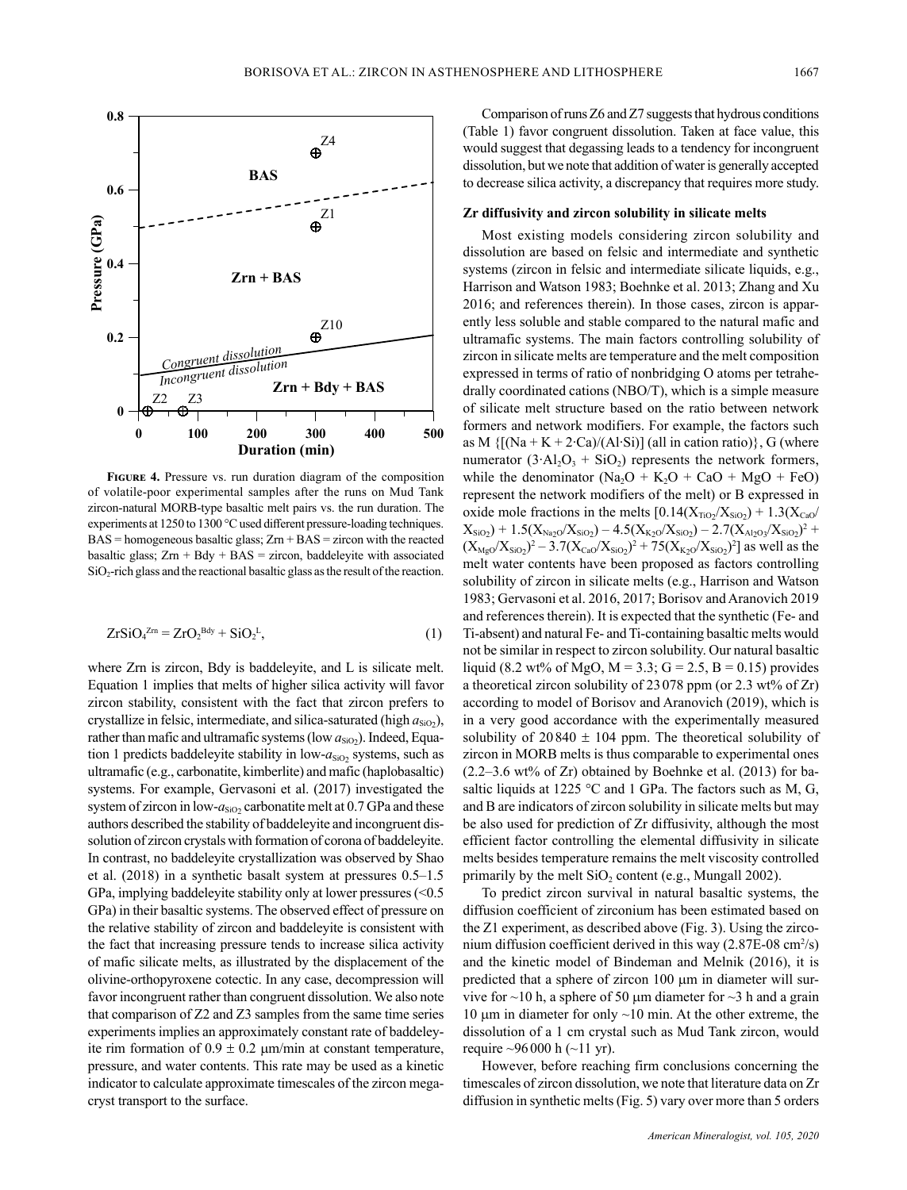

**Figure 4.** Pressure vs. run duration diagram of the composition of volatile-poor experimental samples after the runs on Mud Tank zircon-natural MORB-type basaltic melt pairs vs. the run duration. The experiments at 1250 to 1300 °C used different pressure-loading techniques.  $BAS =$  homogeneous basaltic glass;  $Zrn + BAS =$  zircon with the reacted basaltic glass;  $Zrn + Bdy + BAS = zircon$ , baddeleyite with associated  $SiO<sub>2</sub>$ -rich glass and the reactional basaltic glass as the result of the reaction.

$$
ZrSiO4Zm = ZrO2Bdy + SiO2L,
$$
\n(1)

where Zrn is zircon, Bdy is baddeleyite, and L is silicate melt. Equation 1 implies that melts of higher silica activity will favor zircon stability, consistent with the fact that zircon prefers to crystallize in felsic, intermediate, and silica-saturated (high  $a_{SiO2}$ ), rather than mafic and ultramafic systems (low  $a_{SiO2}$ ). Indeed, Equation 1 predicts baddeleyite stability in low- $a_{SiO2}$  systems, such as ultramafic (e.g., carbonatite, kimberlite) and mafic (haplobasaltic) systems. For example, Gervasoni et al. (2017) investigated the system of zircon in low- $a_{SiO2}$  carbonatite melt at 0.7 GPa and these authors described the stability of baddeleyite and incongruent dissolution of zircon crystals with formation of corona of baddeleyite. In contrast, no baddeleyite crystallization was observed by Shao et al. (2018) in a synthetic basalt system at pressures 0.5–1.5 GPa, implying baddeleyite stability only at lower pressures (<0.5 GPa) in their basaltic systems. The observed effect of pressure on the relative stability of zircon and baddeleyite is consistent with the fact that increasing pressure tends to increase silica activity of mafic silicate melts, as illustrated by the displacement of the olivine-orthopyroxene cotectic. In any case, decompression will favor incongruent rather than congruent dissolution. We also note that comparison of Z2 and Z3 samples from the same time series experiments implies an approximately constant rate of baddeleyite rim formation of  $0.9 \pm 0.2$  µm/min at constant temperature, pressure, and water contents. This rate may be used as a kinetic indicator to calculate approximate timescales of the zircon megacryst transport to the surface.

Comparison of runs Z6 and Z7 suggests that hydrous conditions (Table 1) favor congruent dissolution. Taken at face value, this would suggest that degassing leads to a tendency for incongruent dissolution, but we note that addition of water is generally accepted to decrease silica activity, a discrepancy that requires more study.

### **Zr diffusivity and zircon solubility in silicate melts**

Most existing models considering zircon solubility and dissolution are based on felsic and intermediate and synthetic systems (zircon in felsic and intermediate silicate liquids, e.g., Harrison and Watson 1983; Boehnke et al. 2013; Zhang and Xu 2016; and references therein). In those cases, zircon is apparently less soluble and stable compared to the natural mafic and ultramafic systems. The main factors controlling solubility of zircon in silicate melts are temperature and the melt composition expressed in terms of ratio of nonbridging O atoms per tetrahedrally coordinated cations (NBO/T), which is a simple measure of silicate melt structure based on the ratio between network formers and network modifiers. For example, the factors such as M  ${[(Na + K + 2·Ca)/(Al·Si)] (all in cation ratio)}, G (where$ numerator  $(3•Al<sub>2</sub>O<sub>3</sub> + SiO<sub>2</sub>) represents the network formers,$ while the denominator  $(Na_2O + K_2O + CaO + MgO + FeO)$ represent the network modifiers of the melt) or B expressed in oxide mole fractions in the melts  $[0.14(X_{TiO_2}/X_{SiO_2}) + 1.3(X_{CaO}/X_{CaO})]$  $X_{\rm SiO_2}$ ) + 1.5( $X_{\rm Na_2O}/X_{\rm SiO_2}$ ) – 4.5( $X_{\rm K_2O}/X_{\rm SiO_2}$ ) – 2.7( $X_{\rm Al_2O_3}/X_{\rm SiO_2}$ )<sup>2</sup> +  $(X_{Mg0}/X_{SiO2})^2 - 3.7(X_{Ca0}/X_{SiO2})^2 + 75(X_{K20}/X_{SiO2})^2$  as well as the melt water contents have been proposed as factors controlling solubility of zircon in silicate melts (e.g., Harrison and Watson 1983; Gervasoni et al. 2016, 2017; Borisov and Aranovich 2019 and references therein). It is expected that the synthetic (Fe- and Ti-absent) and natural Fe- and Ti-containing basaltic melts would not be similar in respect to zircon solubility. Our natural basaltic liquid (8.2 wt% of MgO, M = 3.3; G = 2.5, B = 0.15) provides a theoretical zircon solubility of 23078 ppm (or 2.3 wt% of Zr) according to model of Borisov and Aranovich (2019), which is in a very good accordance with the experimentally measured solubility of  $20840 \pm 104$  ppm. The theoretical solubility of zircon in MORB melts is thus comparable to experimental ones (2.2–3.6 wt% of Zr) obtained by Boehnke et al. (2013) for basaltic liquids at 1225 °C and 1 GPa. The factors such as M, G, and B are indicators of zircon solubility in silicate melts but may be also used for prediction of Zr diffusivity, although the most efficient factor controlling the elemental diffusivity in silicate melts besides temperature remains the melt viscosity controlled primarily by the melt  $SiO<sub>2</sub>$  content (e.g., Mungall 2002).

To predict zircon survival in natural basaltic systems, the diffusion coefficient of zirconium has been estimated based on the Z1 experiment, as described above (Fig. 3). Using the zirconium diffusion coefficient derived in this way  $(2.87E-08 \text{ cm}^2/\text{s})$ and the kinetic model of Bindeman and Melnik (2016), it is predicted that a sphere of zircon 100 µm in diameter will survive for  $\sim$ 10 h, a sphere of 50 µm diameter for  $\sim$ 3 h and a grain 10  $\mu$ m in diameter for only  $\sim$ 10 min. At the other extreme, the dissolution of a 1 cm crystal such as Mud Tank zircon, would require  $\sim$ 96000 h ( $\sim$ 11 yr).

However, before reaching firm conclusions concerning the timescales of zircon dissolution, we note that literature data on Zr diffusion in synthetic melts (Fig. 5) vary over more than 5 orders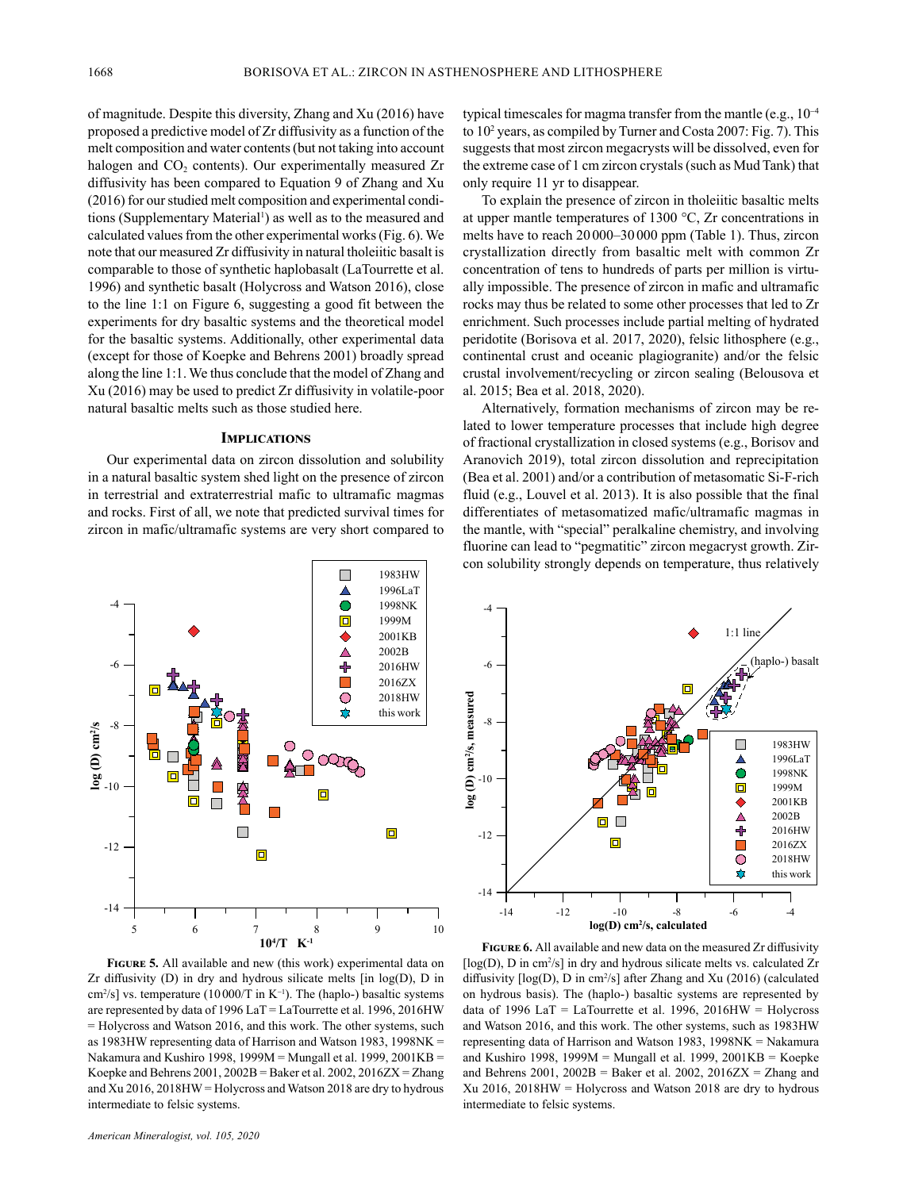of magnitude. Despite this diversity, Zhang and Xu (2016) have proposed a predictive model of Zr diffusivity as a function of the melt composition and water contents (but not taking into account halogen and  $CO<sub>2</sub>$  contents). Our experimentally measured Zr diffusivity has been compared to Equation 9 of Zhang and Xu (2016) for our studied melt composition and experimental conditions (Supplementary Material<sup>1</sup>) as well as to the measured and calculated values from the other experimental works (Fig. 6). We note that our measured Zr diffusivity in natural tholeiitic basalt is comparable to those of synthetic haplobasalt (LaTourrette et al. 1996) and synthetic basalt (Holycross and Watson 2016), close to the line 1:1 on Figure 6, suggesting a good fit between the experiments for dry basaltic systems and the theoretical model for the basaltic systems. Additionally, other experimental data (except for those of Koepke and Behrens 2001) broadly spread along the line 1:1. We thus conclude that the model of Zhang and Xu (2016) may be used to predict Zr diffusivity in volatile-poor natural basaltic melts such as those studied here.

### **Implications**

Our experimental data on zircon dissolution and solubility in a natural basaltic system shed light on the presence of zircon in terrestrial and extraterrestrial mafic to ultramafic magmas and rocks. First of all, we note that predicted survival times for zircon in mafic/ultramafic systems are very short compared to



**Figure 5.** All available and new (this work) experimental data on Zr diffusivity  $(D)$  in dry and hydrous silicate melts [in  $log(D)$ ,  $D$  in cm<sup>2</sup>/s] vs. temperature (10000/T in  $K^{-1}$ ). The (haplo-) basaltic systems are represented by data of 1996 LaT = LaTourrette et al. 1996, 2016HW = Holycross and Watson 2016, and this work. The other systems, such as 1983HW representing data of Harrison and Watson 1983, 1998NK = Nakamura and Kushiro 1998, 1999M = Mungall et al. 1999, 2001KB = Koepke and Behrens  $2001$ ,  $2002B$  = Baker et al.  $2002$ ,  $2016ZX = Zhang$ and Xu 2016, 2018HW = Holycross and Watson 2018 are dry to hydrous intermediate to felsic systems.

typical timescales for magma transfer from the mantle (e.g.,  $10^{-4}$ ) to 102 years, as compiled by Turner and Costa 2007: Fig. 7). This suggests that most zircon megacrysts will be dissolved, even for the extreme case of 1 cm zircon crystals (such as Mud Tank) that only require 11 yr to disappear.

To explain the presence of zircon in tholeiitic basaltic melts at upper mantle temperatures of 1300 °C, Zr concentrations in melts have to reach 20000–30000 ppm (Table 1). Thus, zircon crystallization directly from basaltic melt with common Zr concentration of tens to hundreds of parts per million is virtually impossible. The presence of zircon in mafic and ultramafic rocks may thus be related to some other processes that led to Zr enrichment. Such processes include partial melting of hydrated peridotite (Borisova et al. 2017, 2020), felsic lithosphere (e.g., continental crust and oceanic plagiogranite) and/or the felsic crustal involvement/recycling or zircon sealing (Belousova et al. 2015; Bea et al. 2018, 2020).

Alternatively, formation mechanisms of zircon may be related to lower temperature processes that include high degree of fractional crystallization in closed systems (e.g., Borisov and Aranovich 2019), total zircon dissolution and reprecipitation (Bea et al. 2001) and/or a contribution of metasomatic Si-F-rich fluid (e.g., Louvel et al. 2013). It is also possible that the final differentiates of metasomatized mafic/ultramafic magmas in the mantle, with "special" peralkaline chemistry, and involving fluorine can lead to "pegmatitic" zircon megacryst growth. Zircon solubility strongly depends on temperature, thus relatively



**Figure 6.** All available and new data on the measured Zr diffusivity  $[log(D), D$  in cm<sup>2</sup>/s] in dry and hydrous silicate melts vs. calculated  $Zr$ diffusivity [log(D), D in cm<sup>2</sup>/s] after Zhang and Xu (2016) (calculated on hydrous basis). The (haplo-) basaltic systems are represented by data of 1996 LaT = LaTourrette et al. 1996, 2016 $HW =$  Holycross and Watson 2016, and this work. The other systems, such as 1983HW representing data of Harrison and Watson 1983, 1998NK = Nakamura and Kushiro 1998, 1999M = Mungall et al. 1999, 2001KB = Koepke and Behrens 2001,  $2002B = Baker$  et al.  $2002$ ,  $2016ZX = Zhang$  and Xu 2016, 2018HW = Holycross and Watson 2018 are dry to hydrous intermediate to felsic systems.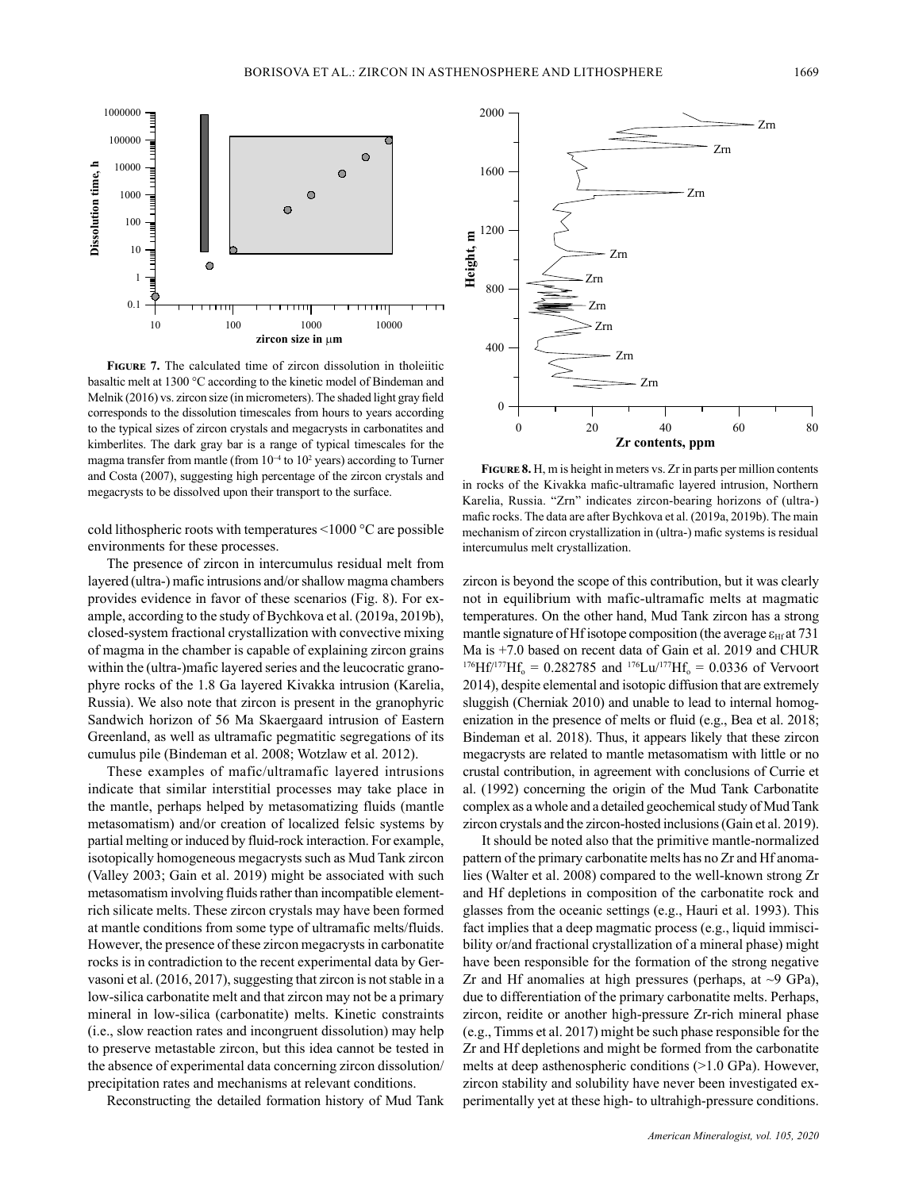

10 100 1000 10000 zircon size in µm

**Figure 7.** The calculated time of zircon dissolution in tholeiitic basaltic melt at 1300 °C according to the kinetic model of Bindeman and Melnik (2016) vs. zircon size (in micrometers). The shaded light gray field corresponds to the dissolution timescales from hours to years according to the typical sizes of zircon crystals and megacrysts in carbonatites and kimberlites. The dark gray bar is a range of typical timescales for the magma transfer from mantle (from 10<sup>-4</sup> to 10<sup>2</sup> years) according to Turner and Costa (2007), suggesting high percentage of the zircon crystals and megacrysts to be dissolved upon their transport to the surface.

cold lithospheric roots with temperatures <1000 °C are possible environments for these processes.

The presence of zircon in intercumulus residual melt from layered (ultra-) mafic intrusions and/or shallow magma chambers provides evidence in favor of these scenarios (Fig. 8). For example, according to the study of Bychkova et al. (2019a, 2019b), closed-system fractional crystallization with convective mixing of magma in the chamber is capable of explaining zircon grains within the (ultra-)mafic layered series and the leucocratic granophyre rocks of the 1.8 Ga layered Kivakka intrusion (Karelia, Russia). We also note that zircon is present in the granophyric Sandwich horizon of 56 Ma Skaergaard intrusion of Eastern Greenland, as well as ultramafic pegmatitic segregations of its cumulus pile (Bindeman et al. 2008; Wotzlaw et al. 2012).

These examples of mafic/ultramafic layered intrusions indicate that similar interstitial processes may take place in the mantle, perhaps helped by metasomatizing fluids (mantle metasomatism) and/or creation of localized felsic systems by partial melting or induced by fluid-rock interaction. For example, isotopically homogeneous megacrysts such as Mud Tank zircon (Valley 2003; Gain et al. 2019) might be associated with such metasomatism involving fluids rather than incompatible elementrich silicate melts. These zircon crystals may have been formed at mantle conditions from some type of ultramafic melts/fluids. However, the presence of these zircon megacrysts in carbonatite rocks is in contradiction to the recent experimental data by Gervasoni et al. (2016, 2017), suggesting that zircon is not stable in a low-silica carbonatite melt and that zircon may not be a primary mineral in low-silica (carbonatite) melts. Kinetic constraints (i.e., slow reaction rates and incongruent dissolution) may help to preserve metastable zircon, but this idea cannot be tested in the absence of experimental data concerning zircon dissolution/ precipitation rates and mechanisms at relevant conditions.

Reconstructing the detailed formation history of Mud Tank



**Figure 8.** H, m is height in meters vs. Zr in parts per million contents in rocks of the Kivakka mafic-ultramafic layered intrusion, Northern Karelia, Russia. "Zrn" indicates zircon-bearing horizons of (ultra-) mafic rocks. The data are after Bychkova et al. (2019a, 2019b). The main mechanism of zircon crystallization in (ultra-) mafic systems is residual intercumulus melt crystallization.

zircon is beyond the scope of this contribution, but it was clearly not in equilibrium with mafic-ultramafic melts at magmatic temperatures. On the other hand, Mud Tank zircon has a strong mantle signature of Hf isotope composition (the average  $\varepsilon_{\text{Hf}}$  at 731 Ma is +7.0 based on recent data of Gain et al. 2019 and CHUR  $^{176}Hf^{177}Hf_{o} = 0.282785$  and  $^{176}Lu^{177}Hf_{o} = 0.0336$  of Vervoort 2014), despite elemental and isotopic diffusion that are extremely sluggish (Cherniak 2010) and unable to lead to internal homogenization in the presence of melts or fluid (e.g., Bea et al. 2018; Bindeman et al. 2018). Thus, it appears likely that these zircon megacrysts are related to mantle metasomatism with little or no crustal contribution, in agreement with conclusions of Currie et al. (1992) concerning the origin of the Mud Tank Carbonatite complex as a whole and a detailed geochemical study of Mud Tank zircon crystals and the zircon-hosted inclusions (Gain et al. 2019).

It should be noted also that the primitive mantle-normalized pattern of the primary carbonatite melts has no Zr and Hf anomalies (Walter et al. 2008) compared to the well-known strong Zr and Hf depletions in composition of the carbonatite rock and glasses from the oceanic settings (e.g., Hauri et al. 1993). This fact implies that a deep magmatic process (e.g., liquid immiscibility or/and fractional crystallization of a mineral phase) might have been responsible for the formation of the strong negative Zr and Hf anomalies at high pressures (perhaps, at  $\sim$ 9 GPa), due to differentiation of the primary carbonatite melts. Perhaps, zircon, reidite or another high-pressure Zr-rich mineral phase (e.g., Timms et al. 2017) might be such phase responsible for the Zr and Hf depletions and might be formed from the carbonatite melts at deep asthenospheric conditions (>1.0 GPa). However, zircon stability and solubility have never been investigated experimentally yet at these high- to ultrahigh-pressure conditions.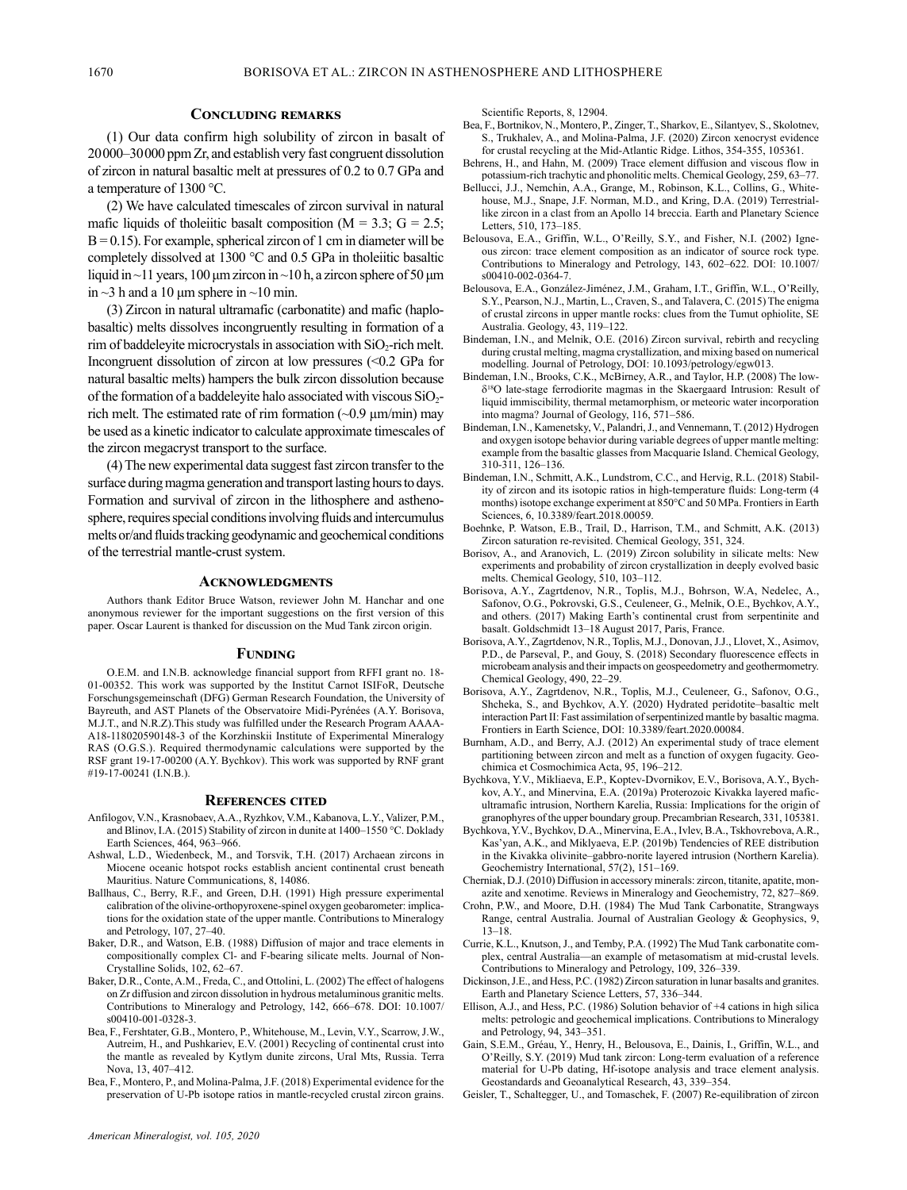## **Concluding remarks**

(1) Our data confirm high solubility of zircon in basalt of 20000–30000 ppm Zr, and establish very fast congruent dissolution of zircon in natural basaltic melt at pressures of 0.2 to 0.7 GPa and a temperature of 1300 °C.

(2) We have calculated timescales of zircon survival in natural mafic liquids of tholeiitic basalt composition ( $M = 3.3$ ;  $G = 2.5$ ;  $B = 0.15$ ). For example, spherical zircon of 1 cm in diameter will be completely dissolved at 1300 °C and 0.5 GPa in tholeiitic basaltic liquid in  $\sim$ 11 years, 100 μm zircon in  $\sim$ 10 h, a zircon sphere of 50 μm in  $\sim$ 3 h and a 10 µm sphere in  $\sim$ 10 min.

(3) Zircon in natural ultramafic (carbonatite) and mafic (haplobasaltic) melts dissolves incongruently resulting in formation of a rim of baddeleyite microcrystals in association with  $SiO_2$ -rich melt. Incongruent dissolution of zircon at low pressures (<0.2 GPa for natural basaltic melts) hampers the bulk zircon dissolution because of the formation of a baddeleyite halo associated with viscous  $SiO<sub>2</sub>$ rich melt. The estimated rate of rim formation  $(\sim 0.9 \,\mu\text{m/min})$  may be used as a kinetic indicator to calculate approximate timescales of the zircon megacryst transport to the surface.

(4) The new experimental data suggest fast zircon transfer to the surface during magma generation and transport lasting hours to days. Formation and survival of zircon in the lithosphere and asthenosphere, requires special conditions involving fluids and intercumulus melts or/and fluids tracking geodynamic and geochemical conditions of the terrestrial mantle-crust system.

#### **Acknowledgments**

Authors thank Editor Bruce Watson, reviewer John M. Hanchar and one anonymous reviewer for the important suggestions on the first version of this paper. Oscar Laurent is thanked for discussion on the Mud Tank zircon origin.

#### **Funding**

O.E.M. and I.N.B. acknowledge financial support from RFFI grant no. 18- 01-00352. This work was supported by the Institut Carnot ISIFoR, Deutsche Forschungsgemeinschaft (DFG) German Research Foundation, the University of Bayreuth, and AST Planets of the Observatoire Midi-Pyrénées (A.Y. Borisova, M.J.T., and N.R.Z).This study was fulfilled under the Research Program AAAA-A18-118020590148-3 of the Korzhinskii Institute of Experimental Mineralogy RAS (O.G.S.). Required thermodynamic calculations were supported by the RSF grant 19-17-00200 (A.Y. Bychkov). This work was supported by RNF grant #19-17-00241 (I.N.B.).

#### **References cited**

- Anfilogov, V.N., Krasnobaev, A.A., Ryzhkov, V.M., Kabanova, L.Y., Valizer, P.M., and Blinov, I.A. (2015) Stability of zircon in dunite at 1400–1550 °C. Doklady Earth Sciences, 464, 963–966.
- Ashwal, L.D., Wiedenbeck, M., and Torsvik, T.H. (2017) Archaean zircons in Miocene oceanic hotspot rocks establish ancient continental crust beneath Mauritius. Nature Communications, 8, 14086.
- Ballhaus, C., Berry, R.F., and Green, D.H. (1991) High pressure experimental calibration of the olivine-orthopyroxene-spinel oxygen geobarometer: implications for the oxidation state of the upper mantle. Contributions to Mineralogy and Petrology, 107, 27–40.
- Baker, D.R., and Watson, E.B. (1988) Diffusion of major and trace elements in compositionally complex Cl- and F-bearing silicate melts. Journal of Non-Crystalline Solids, 102, 62–67.
- Baker, D.R., Conte, A.M., Freda, C., and Ottolini, L. (2002) The effect of halogens on Zr diffusion and zircon dissolution in hydrous metaluminous granitic melts. Contributions to Mineralogy and Petrology, 142, 666–678. DOI: 10.1007/ s00410-001-0328-3.
- Bea, F., Fershtater, G.B., Montero, P., Whitehouse, M., Levin, V.Y., Scarrow, J.W., Autreim, H., and Pushkariev, E.V. (2001) Recycling of continental crust into the mantle as revealed by Kytlym dunite zircons, Ural Mts, Russia. Terra Nova, 13, 407–412.
- Bea, F., Montero, P., and Molina-Palma, J.F. (2018) Experimental evidence for the preservation of U-Pb isotope ratios in mantle-recycled crustal zircon grains.

Scientific Reports, 8, 12904.

- Bea, F., Bortnikov, N., Montero, P., Zinger, T., Sharkov, E., Silantyev, S., Skolotnev, S., Trukhalev, A., and Molina-Palma, J.F. (2020) Zircon xenocryst evidence for crustal recycling at the Mid-Atlantic Ridge. Lithos, 354-355, 105361.
- Behrens, H., and Hahn, M. (2009) Trace element diffusion and viscous flow in potassium-rich trachytic and phonolitic melts. Chemical Geology, 259, 63–77.
- Bellucci, J.J., Nemchin, A.A., Grange, M., Robinson, K.L., Collins, G., Whitehouse, M.J., Snape, J.F. Norman, M.D., and Kring, D.A. (2019) Terrestriallike zircon in a clast from an Apollo 14 breccia. Earth and Planetary Science Letters, 510, 173–185.
- Belousova, E.A., Griffin, W.L., O'Reilly, S.Y., and Fisher, N.I. (2002) Igneous zircon: trace element composition as an indicator of source rock type. Contributions to Mineralogy and Petrology, 143, 602–622. DOI: 10.1007/ s00410-002-0364-7.
- Belousova, E.A., González-Jiménez, J.M., Graham, I.T., Griffin, W.L., O'Reilly, S.Y., Pearson, N.J., Martin, L., Craven, S., and Talavera, C. (2015) The enigma of crustal zircons in upper mantle rocks: clues from the Tumut ophiolite, SE Australia. Geology, 43, 119–122.
- Bindeman, I.N., and Melnik, O.E. (2016) Zircon survival, rebirth and recycling during crustal melting, magma crystallization, and mixing based on numerical modelling. Journal of Petrology, DOI: 10.1093/petrology/egw013.
- Bindeman, I.N., Brooks, C.K., McBirney, A.R., and Taylor, H.P. (2008) The low- $\delta^{18}$ O late-stage ferrodiorite magmas in the Skaergaard Intrusion: Result of liquid immiscibility, thermal metamorphism, or meteoric water incorporation into magma? Journal of Geology, 116, 571–586.
- Bindeman, I.N., Kamenetsky, V., Palandri, J., and Vennemann, T. (2012) Hydrogen and oxygen isotope behavior during variable degrees of upper mantle melting: example from the basaltic glasses from Macquarie Island. Chemical Geology, 310-311, 126–136.
- Bindeman, I.N., Schmitt, A.K., Lundstrom, C.C., and Hervig, R.L. (2018) Stability of zircon and its isotopic ratios in high-temperature fluids: Long-term (4 months) isotope exchange experiment at 850°C and 50 MPa. Frontiers in Earth Sciences, 6, 10.3389/feart.2018.00059.
- Boehnke, P. Watson, E.B., Trail, D., Harrison, T.M., and Schmitt, A.K. (2013) Zircon saturation re-revisited. Chemical Geology, 351, 324.
- Borisov, A., and Aranovich, L. (2019) Zircon solubility in silicate melts: New experiments and probability of zircon crystallization in deeply evolved basic melts. Chemical Geology, 510, 103–112.
- Borisova, A.Y., Zagrtdenov, N.R., Toplis, M.J., Bohrson, W.A, Nedelec, A., Safonov, O.G., Pokrovski, G.S., Ceuleneer, G., Melnik, O.E., Bychkov, A.Y., and others. (2017) Making Earth's continental crust from serpentinite and basalt. Goldschmidt 13–18 August 2017, Paris, France.
- Borisova, A.Y., Zagrtdenov, N.R., Toplis, M.J., Donovan, J.J., Llovet, X., Asimov, P.D., de Parseval, P., and Gouy, S. (2018) Secondary fluorescence effects in microbeam analysis and their impacts on geospeedometry and geothermometry. Chemical Geology, 490, 22–29.
- Borisova, A.Y., Zagrtdenov, N.R., Toplis, M.J., Ceuleneer, G., Safonov, O.G., Shcheka, S., and Bychkov, A.Y. (2020) Hydrated peridotite–basaltic melt interaction Part II: Fast assimilation of serpentinized mantle by basaltic magma. Frontiers in Earth Science, DOI: 10.3389/feart.2020.00084.
- Burnham, A.D., and Berry, A.J. (2012) An experimental study of trace element partitioning between zircon and melt as a function of oxygen fugacity. Geochimica et Cosmochimica Acta, 95, 196–212.
- Bychkova, Y.V., Mikliaeva, E.P., Koptev-Dvornikov, E.V., Borisova, A.Y., Bychkov, A.Y., and Minervina, E.A. (2019a) Proterozoic Kivakka layered maficultramafic intrusion, Northern Karelia, Russia: Implications for the origin of granophyres of the upper boundary group. Precambrian Research, 331, 105381.
- Bychkova, Y.V., Bychkov, D.A., Minervina, E.A., Ivlev, B.A., Tskhovrebova, A.R., Kas'yan, A.K., and Miklyaeva, E.P. (2019b) Tendencies of REE distribution in the Kivakka olivinite–gabbro-norite layered intrusion (Northern Karelia). Geochemistry International, 57(2), 151–169.
- Cherniak, D.J. (2010) Diffusion in accessory minerals: zircon, titanite, apatite, monazite and xenotime. Reviews in Mineralogy and Geochemistry, 72, 827–869.
- Crohn, P.W., and Moore, D.H. (1984) The Mud Tank Carbonatite, Strangways Range, central Australia. Journal of Australian Geology & Geophysics, 9, 13–18.
- Currie, K.L., Knutson, J., and Temby, P.A. (1992) The Mud Tank carbonatite complex, central Australia—an example of metasomatism at mid-crustal levels. Contributions to Mineralogy and Petrology, 109, 326–339.
- Dickinson, J.E., and Hess, P.C. (1982) Zircon saturation in lunar basalts and granites. Earth and Planetary Science Letters, 57, 336–344.
- Ellison, A.J., and Hess, P.C. (1986) Solution behavior of +4 cations in high silica melts: petrologic and geochemical implications. Contributions to Mineralogy and Petrology, 94, 343–351.
- Gain, S.E.M., Gréau, Y., Henry, H., Belousova, E., Dainis, I., Griffin, W.L., and O'Reilly, S.Y. (2019) Mud tank zircon: Long-term evaluation of a reference material for U-Pb dating, Hf-isotope analysis and trace element analysis. Geostandards and Geoanalytical Research, 43, 339–354.
- Geisler, T., Schaltegger, U., and Tomaschek, F. (2007) Re-equilibration of zircon